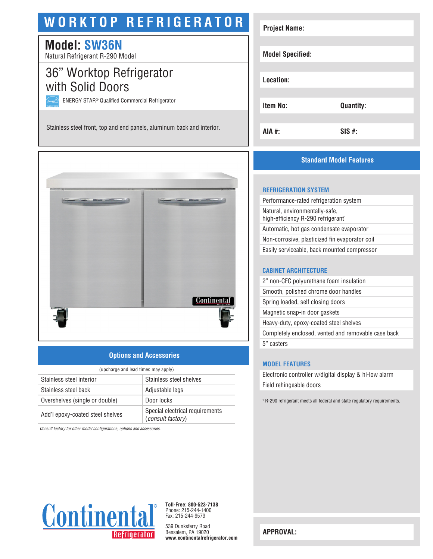# **WORKTOP REFRIGERATOR**

## **Model: SW36N**

Natural Refrigerant R-290 Model

## 36" Worktop Refrigerator with Solid Doors

ENERGY STAR® Qualified Commercial Refrigerator

Stainless steel front, top and end panels, aluminum back and interior.



## **Options and Accessories**

| (upcharge and lead times may apply) |                                                             |  |
|-------------------------------------|-------------------------------------------------------------|--|
| Stainless steel interior            | Stainless steel shelves                                     |  |
| Stainless steel back                | Adjustable legs                                             |  |
| Overshelves (single or double)      | Door locks                                                  |  |
| Add'l epoxy-coated steel shelves    | Special electrical requirements<br><i>(consult factory)</i> |  |

*Consult factory for other model configurations, options and accessories.*



## **Standard Model Features**

#### **REFRIGERATION SYSTEM**

Performance-rated refrigeration system Natural, environmentally-safe, high-efficiency R-290 refrigerant<sup>1</sup> Automatic, hot gas condensate evaporator Non-corrosive, plasticized fin evaporator coil Easily serviceable, back mounted compressor

#### **CABINET ARCHITECTURE**

2" non-CFC polyurethane foam insulation Smooth, polished chrome door handles Spring loaded, self closing doors Magnetic snap-in door gaskets Heavy-duty, epoxy-coated steel shelves Completely enclosed, vented and removable case back 5" casters

#### **MODEL FEATURES**

Electronic controller w/digital display & hi-low alarm Field rehingeable doors

1 R-290 refrigerant meets all federal and state regulatory requirements.



**Toll-Free: 800-523-7138** Phone: 215-244-1400 Fax: 215-244-9579

539 Dunksferry Road Bensalem, PA 19020 **www.continentalrefrigerator.com** 

**APPROVAL:**